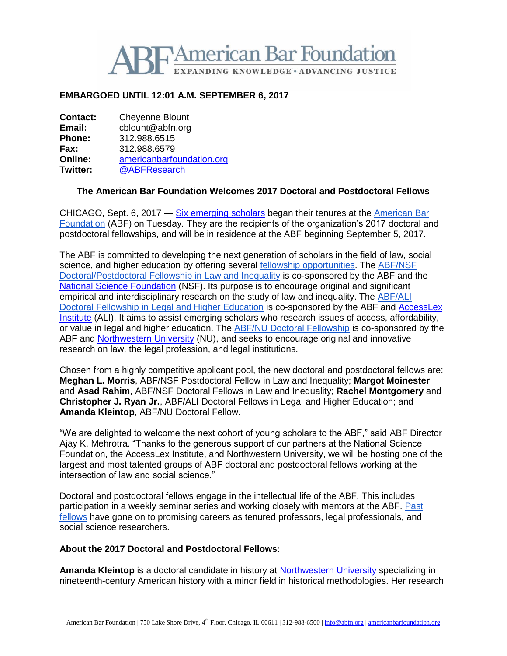

## **EMBARGOED UNTIL 12:01 A.M. SEPTEMBER 6, 2017**

**Contact:** Cheyenne Blount **Email:** cblount@abfn.org **Phone:** 312.988.6515 **Fax:** 312.988.6579 **Online: [americanbarfoundation.org](http://www.americanbarfoundation.org/)**<br> **Twitter:** @ABFResearch **Twitter:** [@ABFResearch](https://twitter.com/ABFResearch)

## **The American Bar Foundation Welcomes 2017 Doctoral and Postdoctoral Fellows**

CHICAGO, Sept. 6, 2017 — [Six emerging scholars](http://www.americanbarfoundation.org/fellowships/Doctoral_Fellows.html) began their tenures at the American Bar [Foundation](http://www.americanbarfoundation.org/index.html) (ABF) on Tuesday. They are the recipients of the organization's 2017 doctoral and postdoctoral fellowships, and will be in residence at the ABF beginning September 5, 2017.

The ABF is committed to developing the next generation of scholars in the field of law, social science, and higher education by offering several [fellowship opportunities.](http://www.americanbarfoundation.org/research/Fellowshipopportunities.html) The [ABF/NSF](http://www.americanbarfoundation.org/research/Fellowshipopportunities/LawAndInequalityFellowshipsProgram.html)  [Doctoral/Postdoctoral Fellowship in Law and Inequality](http://www.americanbarfoundation.org/research/Fellowshipopportunities/LawAndInequalityFellowshipsProgram.html) is co-sponsored by the ABF and the [National Science Foundation](https://www.nsf.gov/) (NSF). Its purpose is to encourage original and significant empirical and interdisciplinary research on the study of law and inequality. The [ABF/ALI](http://www.americanbarfoundation.org/research/Fellowshipopportunities/ABF_AGI_Doctoral_Fellowship_Program_in_Legal___Higher_Education.html)  [Doctoral Fellowship in Legal and Higher Education](http://www.americanbarfoundation.org/research/Fellowshipopportunities/ABF_AGI_Doctoral_Fellowship_Program_in_Legal___Higher_Education.html) is co-sponsored by the ABF and [AccessLex](https://www.accesslex.org/)  [Institute](https://www.accesslex.org/) (ALI). It aims to assist emerging scholars who research issues of access, affordability, or value in legal and higher education. The [ABF/NU Doctoral Fellowship](http://www.americanbarfoundation.org/research/Fellowshipopportunities/ABF_Northwestern_University_Doctoral_Fellowship_Program.html) is co-sponsored by the ABF and [Northwestern University](http://www.northwestern.edu/) (NU), and seeks to encourage original and innovative research on law, the legal profession, and legal institutions.

Chosen from a highly competitive applicant pool, the new doctoral and postdoctoral fellows are: **Meghan L. Morris**, ABF/NSF Postdoctoral Fellow in Law and Inequality; **Margot Moinester** and **Asad Rahim**, ABF/NSF Doctoral Fellows in Law and Inequality; **Rachel Montgomery** and **Christopher J. Ryan Jr.**, ABF/ALI Doctoral Fellows in Legal and Higher Education; and **Amanda Kleintop**, ABF/NU Doctoral Fellow.

"We are delighted to welcome the next cohort of young scholars to the ABF," said ABF Director Ajay K. Mehrotra. "Thanks to the generous support of our partners at the National Science Foundation, the AccessLex Institute, and Northwestern University, we will be hosting one of the largest and most talented groups of ABF doctoral and postdoctoral fellows working at the intersection of law and social science."

Doctoral and postdoctoral fellows engage in the intellectual life of the ABF. This includes participation in a weekly seminar series and working closely with mentors at the ABF. [Past](http://www.americanbarfoundation.org/fellowships/Doctoral_Fellows.html)  [fellows](http://www.americanbarfoundation.org/fellowships/Doctoral_Fellows.html) have gone on to promising careers as tenured professors, legal professionals, and social science researchers.

## **About the 2017 Doctoral and Postdoctoral Fellows:**

**Amanda Kleintop** is a doctoral candidate in history at [Northwestern University](http://www.northwestern.edu/) specializing in nineteenth-century American history with a minor field in historical methodologies. Her research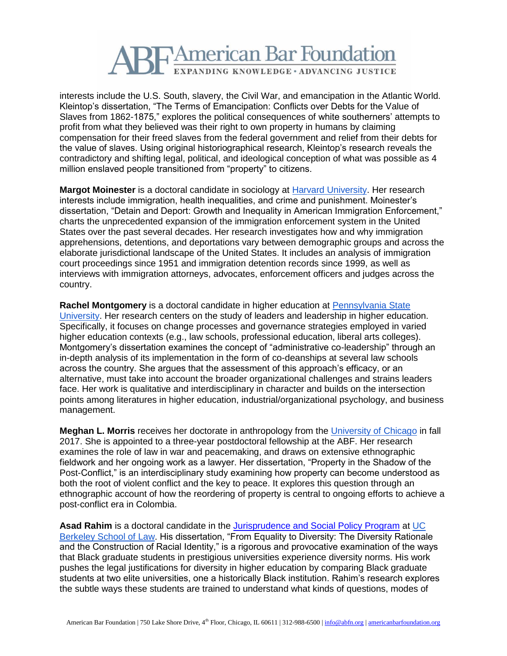

interests include the U.S. South, slavery, the Civil War, and emancipation in the Atlantic World. Kleintop's dissertation, "The Terms of Emancipation: Conflicts over Debts for the Value of Slaves from 1862-1875," explores the political consequences of white southerners' attempts to profit from what they believed was their right to own property in humans by claiming compensation for their freed slaves from the federal government and relief from their debts for the value of slaves. Using original historiographical research, Kleintop's research reveals the contradictory and shifting legal, political, and ideological conception of what was possible as 4 million enslaved people transitioned from "property" to citizens.

**Margot Moinester** is a doctoral candidate in sociology at [Harvard University.](http://www.harvard.edu/) Her research interests include immigration, health inequalities, and crime and punishment. Moinester's dissertation, "Detain and Deport: Growth and Inequality in American Immigration Enforcement," charts the unprecedented expansion of the immigration enforcement system in the United States over the past several decades. Her research investigates how and why immigration apprehensions, detentions, and deportations vary between demographic groups and across the elaborate jurisdictional landscape of the United States. It includes an analysis of immigration court proceedings since 1951 and immigration detention records since 1999, as well as interviews with immigration attorneys, advocates, enforcement officers and judges across the country.

**Rachel Montgomery** is a doctoral candidate in higher education at [Pennsylvania State](http://www.psu.edu/)  [University.](http://www.psu.edu/) Her research centers on the study of leaders and leadership in higher education. Specifically, it focuses on change processes and governance strategies employed in varied higher education contexts (e.g., law schools, professional education, liberal arts colleges). Montgomery's dissertation examines the concept of "administrative co-leadership" through an in-depth analysis of its implementation in the form of co-deanships at several law schools across the country. She argues that the assessment of this approach's efficacy, or an alternative, must take into account the broader organizational challenges and strains leaders face. Her work is qualitative and interdisciplinary in character and builds on the intersection points among literatures in higher education, industrial/organizational psychology, and business management.

**Meghan L. Morris** receives her doctorate in anthropology from the [University of Chicago](http://www.uchicago.edu/) in fall 2017. She is appointed to a three-year postdoctoral fellowship at the ABF. Her research examines the role of law in war and peacemaking, and draws on extensive ethnographic fieldwork and her ongoing work as a lawyer. Her dissertation, "Property in the Shadow of the Post-Conflict," is an interdisciplinary study examining how property can become understood as both the root of violent conflict and the key to peace. It explores this question through an ethnographic account of how the reordering of property is central to ongoing efforts to achieve a post-conflict era in Colombia.

**Asad Rahim** is a doctoral candidate in the [Jurisprudence and Social Policy Program](https://www.law.berkeley.edu/academics/doctoral-programs/jsp/) at [UC](https://www.law.berkeley.edu/)  [Berkeley School of Law.](https://www.law.berkeley.edu/) His dissertation, "From Equality to Diversity: The Diversity Rationale and the Construction of Racial Identity," is a rigorous and provocative examination of the ways that Black graduate students in prestigious universities experience diversity norms. His work pushes the legal justifications for diversity in higher education by comparing Black graduate students at two elite universities, one a historically Black institution. Rahim's research explores the subtle ways these students are trained to understand what kinds of questions, modes of